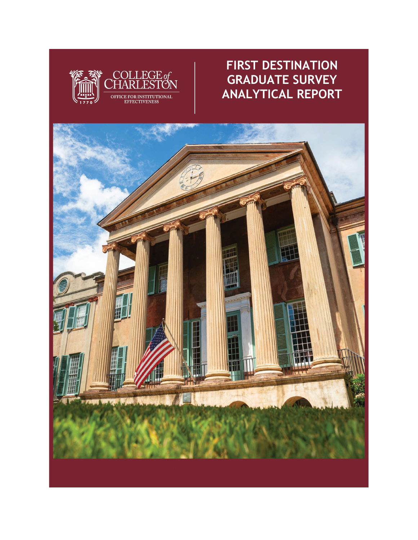

### **FIRST DESTINATION GRADUATE SURVEY ANALYTICAL REPORT**

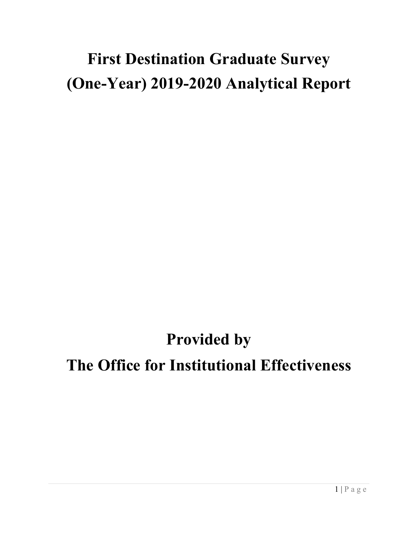# **First Destination Graduate Survey (One-Year) 2019-2020 Analytical Report**

## **Provided by**

### **The Office for Institutional Effectiveness**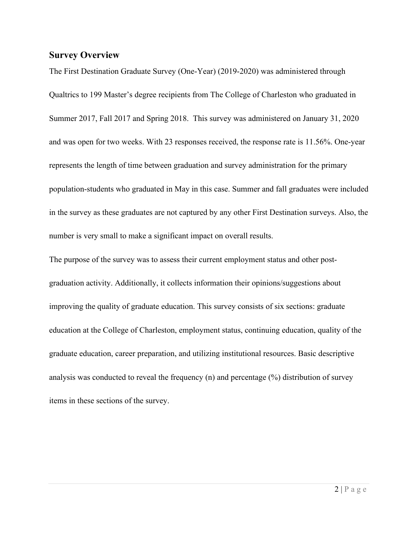#### **Survey Overview**

The First Destination Graduate Survey (One-Year) (2019-2020) was administered through Qualtrics to 199 Master's degree recipients from The College of Charleston who graduated in Summer 2017, Fall 2017 and Spring 2018. This survey was administered on January 31, 2020 and was open for two weeks. With 23 responses received, the response rate is 11.56%. One-year represents the length of time between graduation and survey administration for the primary population-students who graduated in May in this case. Summer and fall graduates were included in the survey as these graduates are not captured by any other First Destination surveys. Also, the number is very small to make a significant impact on overall results.

The purpose of the survey was to assess their current employment status and other postgraduation activity. Additionally, it collects information their opinions/suggestions about improving the quality of graduate education. This survey consists of six sections: graduate education at the College of Charleston, employment status, continuing education, quality of the graduate education, career preparation, and utilizing institutional resources. Basic descriptive analysis was conducted to reveal the frequency (n) and percentage (%) distribution of survey items in these sections of the survey.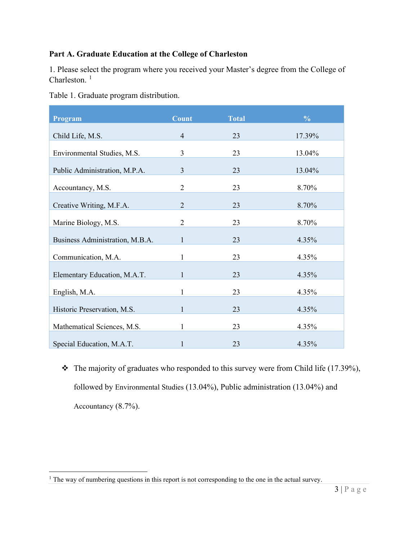#### **Part A. Graduate Education at the College of Charleston**

1. Please select the program where you received your Master's degree from the College of Charleston.<sup>[1](#page-3-0)</sup>

|  | Table 1. Graduate program distribution. |
|--|-----------------------------------------|
|  |                                         |

| Program                         | <b>Count</b>   | <b>Total</b> | $\frac{0}{0}$ |
|---------------------------------|----------------|--------------|---------------|
| Child Life, M.S.                | $\overline{4}$ | 23           | 17.39%        |
| Environmental Studies, M.S.     | $\overline{3}$ | 23           | 13.04%        |
| Public Administration, M.P.A.   | $\overline{3}$ | 23           | 13.04%        |
| Accountancy, M.S.               | $\overline{2}$ | 23           | 8.70%         |
| Creative Writing, M.F.A.        | $\overline{2}$ | 23           | 8.70%         |
| Marine Biology, M.S.            | $\overline{2}$ | 23           | 8.70%         |
| Business Administration, M.B.A. | $\mathbf{1}$   | 23           | 4.35%         |
| Communication, M.A.             | 1              | 23           | 4.35%         |
| Elementary Education, M.A.T.    | $\mathbf{1}$   | 23           | 4.35%         |
| English, M.A.                   | 1              | 23           | 4.35%         |
| Historic Preservation, M.S.     | 1              | 23           | 4.35%         |
| Mathematical Sciences, M.S.     | 1              | 23           | 4.35%         |
| Special Education, M.A.T.       | 1              | 23           | 4.35%         |

 $\cdot \cdot$  The majority of graduates who responded to this survey were from Child life (17.39%), followed by Environmental Studies (13.04%), Public administration (13.04%) and Accountancy (8.7%).

<span id="page-3-0"></span><sup>&</sup>lt;sup>1</sup> The way of numbering questions in this report is not corresponding to the one in the actual survey.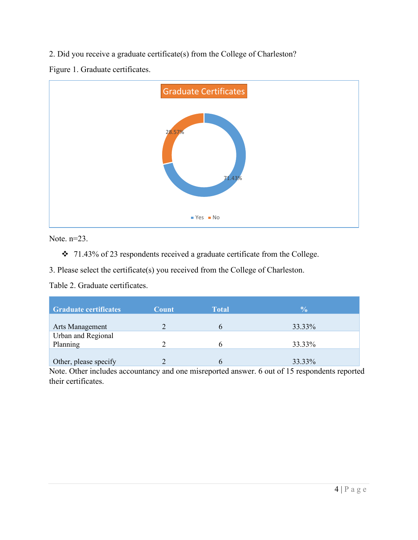2. Did you receive a graduate certificate(s) from the College of Charleston?

Figure 1. Graduate certificates.



Note. n=23.

71.43% of 23 respondents received a graduate certificate from the College.

3. Please select the certificate(s) you received from the College of Charleston.

Table 2. Graduate certificates.

| <b>Graduate certificates</b>   | Count | <b>Total</b> | $\frac{0}{0}$ |
|--------------------------------|-------|--------------|---------------|
| Arts Management                |       |              | 33.33%        |
| Urban and Regional<br>Planning |       |              | 33.33%        |
| Other, please specify          |       |              | 33.33%        |

Note. Other includes accountancy and one misreported answer. 6 out of 15 respondents reported their certificates.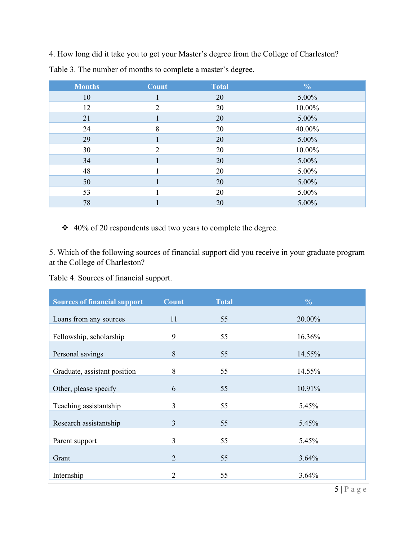4. How long did it take you to get your Master's degree from the College of Charleston?

| <b>Months</b> | Count          | <b>Total</b> | $\frac{0}{0}$ |
|---------------|----------------|--------------|---------------|
| 10            |                | 20           | 5.00%         |
| 12            | $\overline{2}$ | 20           | 10.00%        |
| 21            |                | 20           | 5.00%         |
| 24            | 8              | 20           | 40.00%        |
| 29            |                | 20           | 5.00%         |
| 30            | $\overline{2}$ | 20           | 10.00%        |
| 34            |                | 20           | 5.00%         |
| 48            |                | 20           | 5.00%         |
| 50            |                | 20           | 5.00%         |
| 53            |                | 20           | 5.00%         |
| 78            |                | 20           | 5.00%         |

Table 3. The number of months to complete a master's degree.

40% of 20 respondents used two years to complete the degree.

5. Which of the following sources of financial support did you receive in your graduate program at the College of Charleston?

Table 4. Sources of financial support.

| <b>Sources of financial support</b> | <b>Count</b>   | <b>Total</b> | $\frac{6}{6}$ |
|-------------------------------------|----------------|--------------|---------------|
| Loans from any sources              | 11             | 55           | 20.00%        |
| Fellowship, scholarship             | 9              | 55           | 16.36%        |
| Personal savings                    | 8              | 55           | 14.55%        |
| Graduate, assistant position        | 8              | 55           | 14.55%        |
| Other, please specify               | 6              | 55           | 10.91%        |
| Teaching assistantship              | 3              | 55           | 5.45%         |
|                                     | 3              | 55           | 5.45%         |
| Research assistantship              |                |              |               |
| Parent support                      | $\overline{3}$ | 55           | 5.45%         |
| Grant                               | $\overline{2}$ | 55           | 3.64%         |
| Internship                          | $\overline{2}$ | 55           | 3.64%         |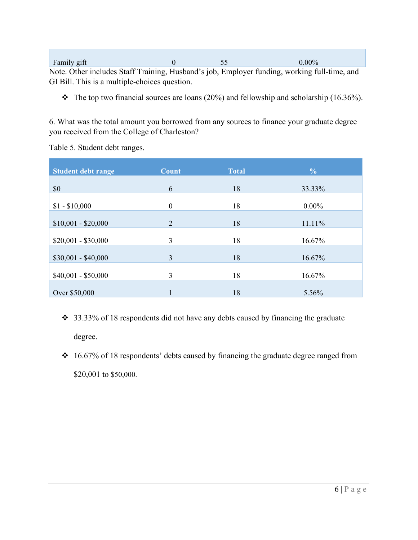Family gift 0 0 55 0.00% Note. Other includes Staff Training, Husband's job, Employer funding, working full-time, and GI Bill. This is a multiple-choices question.

 $\cdot \cdot$  The top two financial sources are loans (20%) and fellowship and scholarship (16.36%).

6. What was the total amount you borrowed from any sources to finance your graduate degree you received from the College of Charleston?

Table 5. Student debt ranges.

| <b>Count</b> | <b>Total</b>                     | $\frac{0}{0}$  |
|--------------|----------------------------------|----------------|
| 6            | 18                               | 33.33%         |
| $\mathbf{0}$ | 18                               | $0.00\%$       |
| 2            | 18                               | 11.11%         |
| 3            | 18                               | 16.67%         |
|              |                                  | 16.67%         |
|              |                                  | 16.67%         |
|              |                                  | 5.56%          |
|              | $\overline{3}$<br>$\overline{3}$ | 18<br>18<br>18 |

- 33.33% of 18 respondents did not have any debts caused by financing the graduate degree.
- 16.67% of 18 respondents' debts caused by financing the graduate degree ranged from \$20,001 to \$50,000.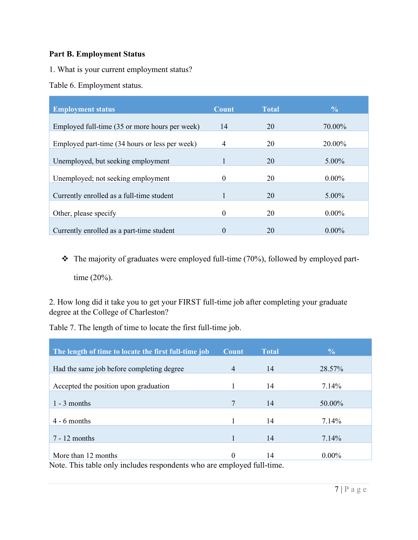#### **Part B. Employment Status**

- 1. What is your current employment status?
- Table 6. Employment status.

| <b>Employment status</b>                       | <b>Count</b> | <b>Total</b> | $\frac{6}{9}$ |
|------------------------------------------------|--------------|--------------|---------------|
| Employed full-time (35 or more hours per week) | 14           | 20           | 70.00%        |
| Employed part-time (34 hours or less per week) | 4            | 20           | 20.00%        |
| Unemployed, but seeking employment             | 1            | 20           | 5.00%         |
|                                                |              |              |               |
| Unemployed; not seeking employment             | 0            | 20           | $0.00\%$      |
| Currently enrolled as a full-time student      |              | 20           | 5.00%         |
| Other, please specify                          | $\theta$     | 20           | $0.00\%$      |
| Currently enrolled as a part-time student      | $\theta$     | 20           | $0.00\%$      |

 $\cdot \cdot$  The majority of graduates were employed full-time (70%), followed by employed parttime (20%).

2. How long did it take you to get your FIRST full-time job after completing your graduate degree at the College of Charleston?

Table 7. The length of time to locate the first full-time job.

| The length of time to locate the first full-time job                   | <b>Count</b>   | <b>Total</b> | $\frac{6}{9}$ |  |
|------------------------------------------------------------------------|----------------|--------------|---------------|--|
| Had the same job before completing degree                              | $\overline{4}$ | 14           | 28.57%        |  |
| Accepted the position upon graduation                                  |                | 14           | 7.14%         |  |
| $1 - 3$ months                                                         | 7              | 14           | 50.00%        |  |
| $4 - 6$ months                                                         |                | 14           | 7.14%         |  |
| $7 - 12$ months                                                        |                | 14           | 7.14%         |  |
| More than 12 months                                                    | $\Omega$       | 14           | $0.00\%$      |  |
| Note. This table only includes respondents who are employed full-time. |                |              |               |  |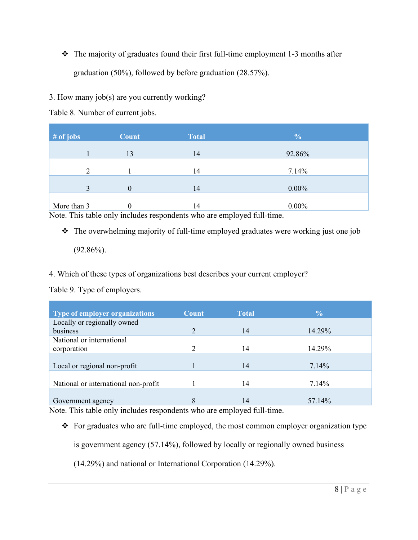$\cdot \cdot$  The majority of graduates found their first full-time employment 1-3 months after graduation (50%), followed by before graduation (28.57%).

#### 3. How many job(s) are you currently working?

Table 8. Number of current jobs.

| $#$ of jobs                                                                                                                                                                                                                                                  | <b>Count</b> | <b>Total</b> | $\frac{0}{0}$                                                |
|--------------------------------------------------------------------------------------------------------------------------------------------------------------------------------------------------------------------------------------------------------------|--------------|--------------|--------------------------------------------------------------|
|                                                                                                                                                                                                                                                              | 13           | 14           | 92.86%                                                       |
|                                                                                                                                                                                                                                                              |              | 14           | 7.14%                                                        |
| 3                                                                                                                                                                                                                                                            | $\mathbf{0}$ | 14           | $0.00\%$                                                     |
| More than 3<br>$\mathbf{v} = \mathbf{v} = \mathbf{v}$ , and a set of the set of the set of the set of the set of the set of the set of the set of the set of the set of the set of the set of the set of the set of the set of the set of the set of the set | 0            | 14           | $0.00\%$<br>$\sim$ $\sim$ $\sim$ $\sim$ $\sim$ $\sim$ $\sim$ |

Note. This table only includes respondents who are employed full-time.

• The overwhelming majority of full-time employed graduates were working just one job

 $(92.86\%)$ .

4. Which of these types of organizations best describes your current employer?

Table 9. Type of employers.

| <b>Type of employer organizations</b>                                                                                                                    | <b>Count</b> | <b>Total</b> | $\frac{0}{0}$ |
|----------------------------------------------------------------------------------------------------------------------------------------------------------|--------------|--------------|---------------|
| Locally or regionally owned                                                                                                                              |              |              |               |
| business                                                                                                                                                 |              | 14           | 14.29%        |
| National or international                                                                                                                                |              |              |               |
| corporation                                                                                                                                              |              | 14           | 14.29%        |
|                                                                                                                                                          |              |              |               |
| Local or regional non-profit                                                                                                                             |              | 14           | 7.14%         |
|                                                                                                                                                          |              |              |               |
| National or international non-profit                                                                                                                     |              | 14           | 7.14%         |
|                                                                                                                                                          |              |              |               |
| Government agency<br>$\mathbf{M}$ and $\mathbf{M}$ and $\mathbf{M}$ and $\mathbf{M}$ and $\mathbf{M}$ and $\mathbf{M}$ and $\mathbf{M}$ and $\mathbf{M}$ | 8            | 14           | 57.14%        |

Note. This table only includes respondents who are employed full-time.

\* For graduates who are full-time employed, the most common employer organization type

is government agency (57.14%), followed by locally or regionally owned business

(14.29%) and national or International Corporation (14.29%).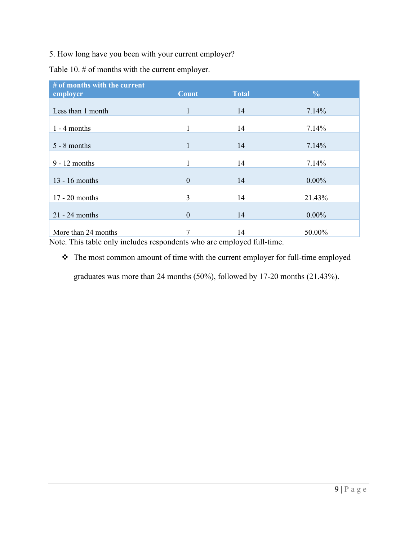5. How long have you been with your current employer?

Table 10. # of months with the current employer.

| # of months with the current |                |              |               |
|------------------------------|----------------|--------------|---------------|
| employer                     | <b>Count</b>   | <b>Total</b> | $\frac{0}{0}$ |
|                              |                |              |               |
| Less than 1 month            | $\mathbf{1}$   | 14           | 7.14%         |
|                              |                |              |               |
| $1 - 4$ months               | 1              | 14           | 7.14%         |
|                              |                |              |               |
| $5 - 8$ months               | $\mathbf{1}$   | 14           | 7.14%         |
|                              |                |              |               |
| $9 - 12$ months              | 1              | 14           | 7.14%         |
|                              |                |              |               |
| $13 - 16$ months             | $\overline{0}$ | 14           | $0.00\%$      |
|                              |                |              |               |
| $17 - 20$ months             | 3              | 14           | 21.43%        |
|                              |                |              |               |
| $21 - 24$ months             | $\overline{0}$ | 14           | $0.00\%$      |
|                              |                |              |               |
| More than 24 months          | 7              | 14           | 50.00%        |

Note. This table only includes respondents who are employed full-time.

\* The most common amount of time with the current employer for full-time employed

graduates was more than 24 months (50%), followed by 17-20 months (21.43%).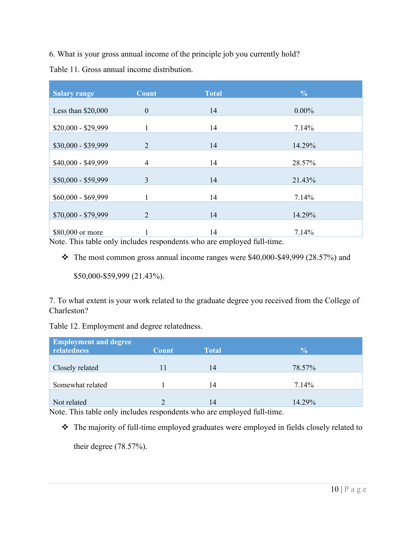6. What is your gross annual income of the principle job you currently hold?

Table 11. Gross annual income distribution.

| <b>Salary range</b> | <b>Count</b>     | <b>Total</b> | $\frac{0}{0}$ |
|---------------------|------------------|--------------|---------------|
| Less than $$20,000$ | $\boldsymbol{0}$ | 14           | $0.00\%$      |
| $$20,000 - $29,999$ | 1                | 14           | 7.14%         |
|                     |                  |              |               |
| \$30,000 - \$39,999 | $\overline{2}$   | 14           | 14.29%        |
| \$40,000 - \$49,999 | $\overline{4}$   | 14           | 28.57%        |
| \$50,000 - \$59,999 | 3                | 14           | 21.43%        |
| $$60,000 - $69,999$ | 1                | 14           | 7.14%         |
| \$70,000 - \$79,999 | $\overline{2}$   | 14           | 14.29%        |
| \$80,000 or more    |                  | 14           | 7.14%         |

Note. This table only includes respondents who are employed full-time.

 $\cdot \cdot$  The most common gross annual income ranges were \$40,000-\$49,999 (28.57%) and

\$50,000-\$59,999 (21.43%).

7. To what extent is your work related to the graduate degree you received from the College of Charleston?

Table 12. Employment and degree relatedness.

| <b>Employment and degree</b><br>relatedness | <b>Count</b> | <b>Total</b> | $\frac{0}{0}$ |
|---------------------------------------------|--------------|--------------|---------------|
| Closely related                             |              | 14           | 78.57%        |
| Somewhat related                            |              | 14           | 7.14%         |
| Not related                                 |              | 14           | 14.29%        |

Note. This table only includes respondents who are employed full-time.

\* The majority of full-time employed graduates were employed in fields closely related to

their degree (78.57%).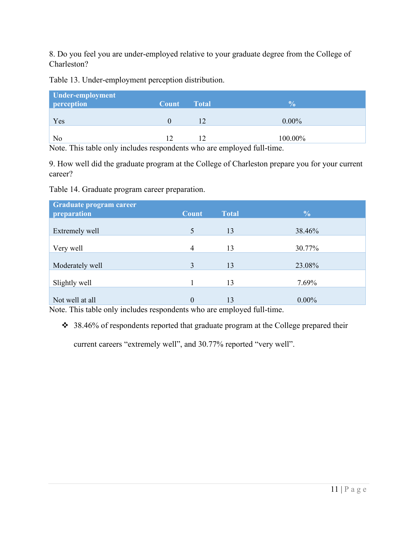8. Do you feel you are under-employed relative to your graduate degree from the College of Charleston?

Table 13. Under-employment perception distribution.

| <b>Under-employment</b><br>perception | <b>Count</b> Total | 70       |
|---------------------------------------|--------------------|----------|
| Yes                                   |                    | $0.00\%$ |
| No                                    | 12                 | 100.00%  |

Note. This table only includes respondents who are employed full-time.

9. How well did the graduate program at the College of Charleston prepare you for your current career?

Table 14. Graduate program career preparation.

| Graduate program career |                |              |               |
|-------------------------|----------------|--------------|---------------|
| preparation             | <b>Count</b>   | <b>Total</b> | $\frac{0}{0}$ |
|                         |                |              |               |
| Extremely well          | 5              | 13           | 38.46%        |
|                         |                |              |               |
| Very well               | $\overline{4}$ | 13           | 30.77%        |
|                         |                |              |               |
| Moderately well         | 3              | 13           | 23.08%        |
|                         |                |              |               |
| Slightly well           |                | 13           | 7.69%         |
|                         |                |              |               |
| Not well at all         | $\theta$       | 13           | $0.00\%$      |

Note. This table only includes respondents who are employed full-time.

38.46% of respondents reported that graduate program at the College prepared their

current careers "extremely well", and 30.77% reported "very well".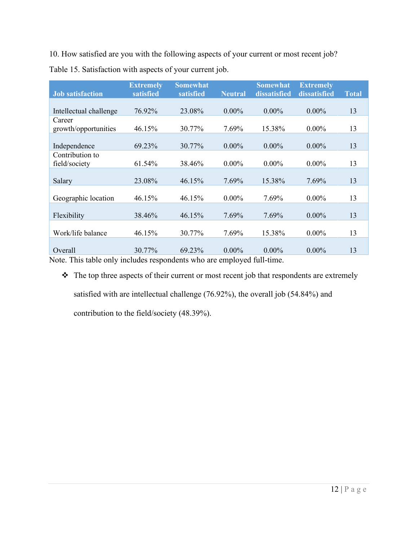10. How satisfied are you with the following aspects of your current or most recent job? Table 15. Satisfaction with aspects of your current job.

| <b>Job satisfaction</b> | <b>Extremely</b><br>satisfied | <b>Somewhat</b><br>satisfied | <b>Neutral</b> | <b>Somewhat</b><br>dissatisfied | <b>Extremely</b><br>dissatisfied | <b>Total</b> |
|-------------------------|-------------------------------|------------------------------|----------------|---------------------------------|----------------------------------|--------------|
|                         |                               |                              |                |                                 |                                  |              |
| Intellectual challenge  | 76.92%                        | 23.08%                       | $0.00\%$       | $0.00\%$                        | $0.00\%$                         | 13           |
| Career                  |                               |                              |                |                                 |                                  |              |
| growth/opportunities    | 46.15%                        | 30.77%                       | 7.69%          | 15.38%                          | $0.00\%$                         | 13           |
|                         |                               |                              |                |                                 |                                  |              |
| Independence            | 69.23%                        | 30.77%                       | $0.00\%$       | $0.00\%$                        | $0.00\%$                         | 13           |
| Contribution to         |                               |                              |                |                                 |                                  |              |
| field/society           | 61.54%                        | 38.46%                       | $0.00\%$       | $0.00\%$                        | $0.00\%$                         | 13           |
|                         |                               |                              |                |                                 |                                  |              |
| Salary                  | 23.08%                        | 46.15%                       | 7.69%          | 15.38%                          | 7.69%                            | 13           |
|                         |                               |                              |                |                                 |                                  |              |
| Geographic location     | 46.15%                        | 46.15%                       | $0.00\%$       | 7.69%                           | $0.00\%$                         | 13           |
|                         |                               |                              |                |                                 |                                  |              |
| Flexibility             | 38.46%                        | 46.15%                       | 7.69%          | 7.69%                           | $0.00\%$                         | 13           |
|                         |                               |                              |                |                                 |                                  |              |
| Work/life balance       | 46.15%                        | 30.77%                       | 7.69%          | 15.38%                          | $0.00\%$                         | 13           |
|                         |                               |                              |                |                                 |                                  |              |
| Overall                 | 30.77%                        | 69.23%                       | $0.00\%$       | $0.00\%$                        | $0.00\%$                         | 13           |
| $\sim$ 11               |                               |                              |                | 1.0.11                          |                                  |              |

Note. This table only includes respondents who are employed full-time.

\* The top three aspects of their current or most recent job that respondents are extremely satisfied with are intellectual challenge (76.92%), the overall job (54.84%) and contribution to the field/society (48.39%).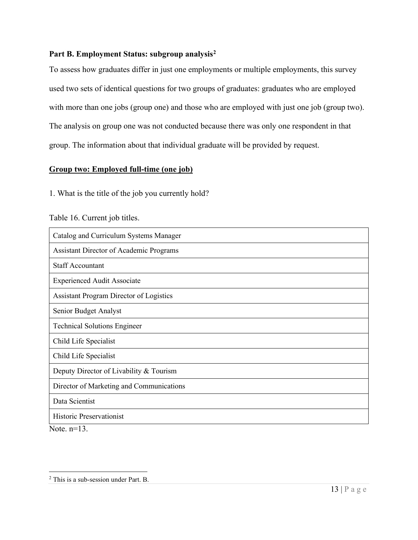#### **Part B. Employment Status: subgroup analysi[s2](#page-13-0)**

To assess how graduates differ in just one employments or multiple employments, this survey used two sets of identical questions for two groups of graduates: graduates who are employed with more than one jobs (group one) and those who are employed with just one job (group two). The analysis on group one was not conducted because there was only one respondent in that group. The information about that individual graduate will be provided by request.

#### **Group two: Employed full-time (one job)**

1. What is the title of the job you currently hold?

#### Table 16. Current job titles.

| Catalog and Curriculum Systems Manager         |
|------------------------------------------------|
| <b>Assistant Director of Academic Programs</b> |
| <b>Staff Accountant</b>                        |
| <b>Experienced Audit Associate</b>             |
| <b>Assistant Program Director of Logistics</b> |
| Senior Budget Analyst                          |
| <b>Technical Solutions Engineer</b>            |
| Child Life Specialist                          |
| Child Life Specialist                          |
| Deputy Director of Livability & Tourism        |
| Director of Marketing and Communications       |
| Data Scientist                                 |
| <b>Historic Preservationist</b>                |
| $N_{\text{max}} = 12$                          |

Note.  $n=13$ .

<span id="page-13-0"></span><sup>2</sup> This is a sub-session under Part. B.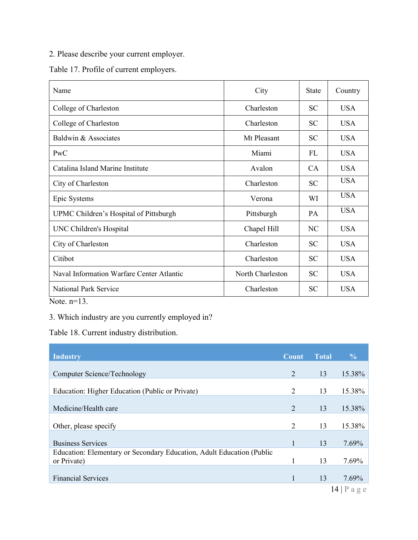2. Please describe your current employer.

Table 17. Profile of current employers.

| Name                                      | City             | <b>State</b>    | Country    |
|-------------------------------------------|------------------|-----------------|------------|
| College of Charleston                     | Charleston       | <b>SC</b>       | USA.       |
| College of Charleston                     | Charleston       | <b>SC</b>       | <b>USA</b> |
| Baldwin & Associates                      | Mt Pleasant      | <b>SC</b>       | <b>USA</b> |
| PWC                                       | Miami            | FL.             | <b>USA</b> |
| Catalina Island Marine Institute          | Avalon           | CA.             | <b>USA</b> |
| City of Charleston                        | Charleston       | SC <sup>-</sup> | <b>USA</b> |
| Epic Systems                              | Verona           | WI              | <b>USA</b> |
| UPMC Children's Hospital of Pittsburgh    | Pittsburgh       | <b>PA</b>       | <b>USA</b> |
| UNC Children's Hospital                   | Chapel Hill      | NC              | <b>USA</b> |
| City of Charleston                        | Charleston       | <b>SC</b>       | <b>USA</b> |
| Citibot                                   | Charleston       | SC <sup>-</sup> | <b>USA</b> |
| Naval Information Warfare Center Atlantic | North Charleston | SC <sup>-</sup> | <b>USA</b> |
| <b>National Park Service</b>              | Charleston       | <b>SC</b>       | <b>USA</b> |

Note. n=13.

3. Which industry are you currently employed in?

Table 18. Current industry distribution.

| <b>Industry</b>                                                                      | Count          | <b>Total</b> | $\frac{6}{6}$  |
|--------------------------------------------------------------------------------------|----------------|--------------|----------------|
| Computer Science/Technology                                                          | $\overline{2}$ | 13           | 15.38%         |
| Education: Higher Education (Public or Private)                                      | 2              | 13           | 15.38%         |
|                                                                                      |                |              |                |
| Medicine/Health care                                                                 | 2              | 13           | 15.38%         |
| Other, please specify                                                                | 2              | 13           | 15.38%         |
| <b>Business Services</b>                                                             |                | 13           | 7.69%          |
| Education: Elementary or Secondary Education, Adult Education (Public<br>or Private) |                | 13           | 7.69%          |
| <b>Financial Services</b>                                                            |                | 13           | 7.69%          |
|                                                                                      |                |              | $14$   P a g e |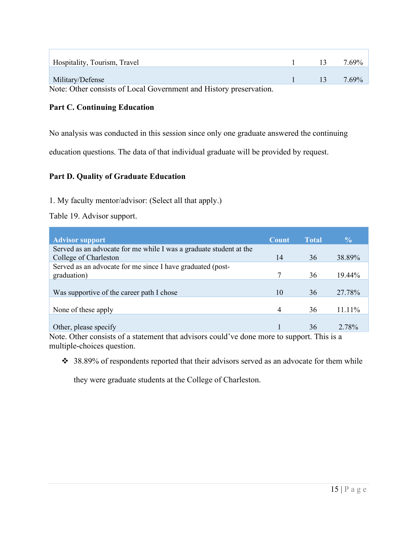| Hospitality, Tourism, Travel                                       | $\overline{13}$ | 7.69% |
|--------------------------------------------------------------------|-----------------|-------|
|                                                                    |                 |       |
| Military/Defense                                                   | -13             | 7.69% |
| Note: Other consists of Local Government and History preservation. |                 |       |

#### **Part C. Continuing Education**

No analysis was conducted in this session since only one graduate answered the continuing

education questions. The data of that individual graduate will be provided by request.

#### **Part D. Quality of Graduate Education**

1. My faculty mentor/advisor: (Select all that apply.)

Table 19. Advisor support.

| <b>Count</b> | <b>Total</b> | $\frac{0}{0}$ |
|--------------|--------------|---------------|
|              |              |               |
| 14           | 36           | 38.89%        |
|              |              |               |
|              | 36           | 19.44%        |
|              |              |               |
| 10           | 36           | 27.78%        |
|              |              |               |
| 4            | 36           | 11.11%        |
|              |              |               |
|              | 36           | 2.78%         |
|              |              |               |

Note. Other consists of a statement that advisors could've done more to support. This is a multiple-choices question.

 $\div$  38.89% of respondents reported that their advisors served as an advocate for them while

they were graduate students at the College of Charleston.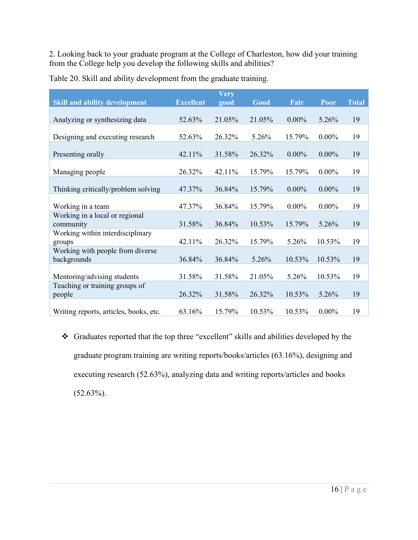2. Looking back to your graduate program at the College of Charleston, how did your training from the College help you develop the following skills and abilities?

|                                                 |                  | <b>Very</b> |        |          |          |              |
|-------------------------------------------------|------------------|-------------|--------|----------|----------|--------------|
| <b>Skill and ability development</b>            | <b>Excellent</b> | good        | Good   | Fair     | Poor     | <b>Total</b> |
| Analyzing or synthesizing data                  | 52.63%           | 21.05%      | 21.05% | $0.00\%$ | 5.26%    | 19           |
| Designing and executing research                | 52.63%           | 26.32%      | 5.26%  | 15.79%   | $0.00\%$ | 19           |
| Presenting orally                               | 42.11%           | 31.58%      | 26.32% | $0.00\%$ | $0.00\%$ | 19           |
| Managing people                                 | 26.32%           | 42.11%      | 15.79% | 15.79%   | $0.00\%$ | 19           |
| Thinking critically/problem solving             | 47.37%           | 36.84%      | 15.79% | $0.00\%$ | $0.00\%$ | 19           |
| Working in a team                               | 47.37%           | 36.84%      | 15.79% | $0.00\%$ | $0.00\%$ | 19           |
| Working in a local or regional<br>community     | 31.58%           | 36.84%      | 10.53% | 15.79%   | 5.26%    | 19           |
| Working within interdisciplinary<br>groups      | 42.11%           | 26.32%      | 15.79% | 5.26%    | 10.53%   | 19           |
| Working with people from diverse<br>backgrounds | 36.84%           | 36.84%      | 5.26%  | 10.53%   | 10.53%   | 19           |
| Mentoring/advising students                     | 31.58%           | 31.58%      | 21.05% | 5.26%    | 10.53%   | 19           |
| Teaching or training groups of<br>people        | 26.32%           | 31.58%      | 26.32% | 10.53%   | 5.26%    | 19           |
| Writing reports, articles, books, etc.          | 63.16%           | 15.79%      | 10.53% | 10.53%   | $0.00\%$ | 19           |

Table 20. Skill and ability development from the graduate training.

 Graduates reported that the top three "excellent" skills and abilities developed by the graduate program training are writing reports/books/articles (63.16%), designing and executing research (52.63%), analyzing data and writing reports/articles and books (52.63%).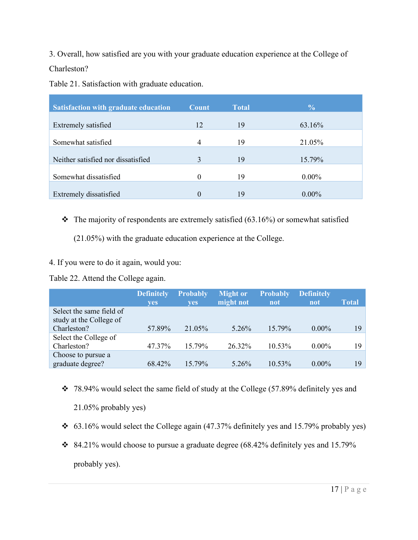3. Overall, how satisfied are you with your graduate education experience at the College of Charleston?

Table 21. Satisfaction with graduate education.

| <b>Satisfaction with graduate education</b> | <b>Count</b> | <b>Total</b> | $\frac{0}{0}$ |
|---------------------------------------------|--------------|--------------|---------------|
| Extremely satisfied                         | 12           | 19           | 63.16%        |
| Somewhat satisfied                          | 4            | 19           | 21.05%        |
| Neither satisfied nor dissatisfied          | 3            | 19           | 15.79%        |
| Somewhat dissatisfied                       | $\Omega$     | 19           | $0.00\%$      |
|                                             |              |              |               |
| Extremely dissatisfied                      | 0            | 19           | $0.00\%$      |

 $\cdot \cdot$  The majority of respondents are extremely satisfied (63.16%) or somewhat satisfied

(21.05%) with the graduate education experience at the College.

4. If you were to do it again, would you:

Table 22. Attend the College again.

|                          | <b>Definitely</b><br>yes | <b>Probably</b><br>yes | <b>Might or</b><br>might not | <b>Probably</b><br>not | <b>Definitely</b><br>not | <b>Total</b> |
|--------------------------|--------------------------|------------------------|------------------------------|------------------------|--------------------------|--------------|
| Select the same field of |                          |                        |                              |                        |                          |              |
| study at the College of  |                          |                        |                              |                        |                          |              |
| Charleston?              | 57.89%                   | 21.05%                 | 5.26%                        | 15.79%                 | $0.00\%$                 | 19           |
| Select the College of    |                          |                        |                              |                        |                          |              |
| Charleston?              | 47.37%                   | 15.79%                 | 26.32%                       | 10.53%                 | $0.00\%$                 | 19.          |
| Choose to pursue a       |                          |                        |                              |                        |                          |              |
| graduate degree?         | 68.42%                   | 15.79%                 | 5.26%                        | 10.53%                 | $0.00\%$                 | 19           |

 $\div$  78.94% would select the same field of study at the College (57.89% definitely yes and

21.05% probably yes)

- 63.16% would select the College again (47.37% definitely yes and 15.79% probably yes)
- $\div$  84.21% would choose to pursue a graduate degree (68.42% definitely yes and 15.79% probably yes).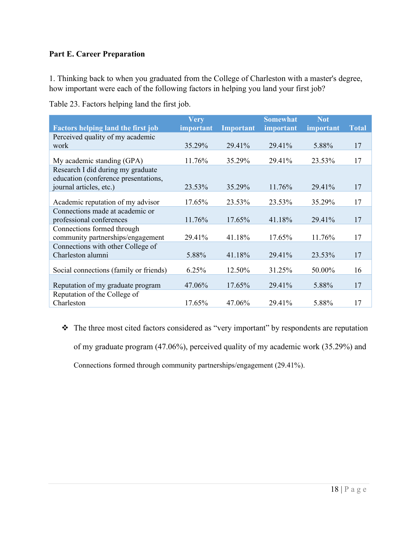#### **Part E. Career Preparation**

1. Thinking back to when you graduated from the College of Charleston with a master's degree, how important were each of the following factors in helping you land your first job?

| Table 23. Factors helping land the first job. |  |  |  |
|-----------------------------------------------|--|--|--|
|                                               |  |  |  |

|                                           | <b>Very</b> |                  | <b>Somewhat</b> | <b>Not</b> |              |
|-------------------------------------------|-------------|------------------|-----------------|------------|--------------|
| <b>Factors helping land the first job</b> | important   | <b>Important</b> | important       | important  | <b>Total</b> |
| Perceived quality of my academic          |             |                  |                 |            |              |
| work                                      | 35.29%      | 29.41%           | 29.41%          | 5.88%      | 17           |
|                                           |             |                  |                 |            |              |
| My academic standing (GPA)                | 11.76%      | 35.29%           | 29.41%          | 23.53%     | 17           |
| Research I did during my graduate         |             |                  |                 |            |              |
| education (conference presentations,      |             |                  |                 |            |              |
| journal articles, etc.)                   | 23.53%      | 35.29%           | 11.76%          | 29.41%     | 17           |
|                                           |             |                  |                 |            |              |
| Academic reputation of my advisor         | 17.65%      | 23.53%           | 23.53%          | 35.29%     | 17           |
| Connections made at academic or           |             |                  |                 |            |              |
| professional conferences                  | 11.76%      | $17.65\%$        | 41.18%          | 29.41%     | 17           |
| Connections formed through                |             |                  |                 |            |              |
| community partnerships/engagement         | 29.41%      | 41.18%           | 17.65%          | 11.76%     | 17           |
| Connections with other College of         |             |                  |                 |            |              |
| Charleston alumni                         | 5.88%       | 41.18%           | 29.41%          | 23.53%     | 17           |
|                                           |             |                  |                 |            |              |
| Social connections (family or friends)    | 6.25%       | 12.50%           | 31.25%          | 50.00%     | 16           |
|                                           |             |                  |                 |            |              |
| Reputation of my graduate program         | 47.06%      | 17.65%           | 29.41%          | 5.88%      | 17           |
| Reputation of the College of              |             |                  |                 |            |              |
| Charleston                                | 17.65%      | 47.06%           | 29.41%          | 5.88%      | 17           |

\* The three most cited factors considered as "very important" by respondents are reputation of my graduate program (47.06%), perceived quality of my academic work (35.29%) and Connections formed through community partnerships/engagement (29.41%).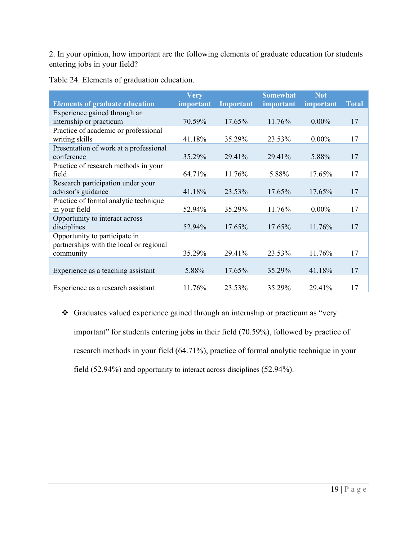2. In your opinion, how important are the following elements of graduate education for students entering jobs in your field?

|                                         | <b>Very</b> |           | <b>Somewhat</b> | <b>Not</b> |              |
|-----------------------------------------|-------------|-----------|-----------------|------------|--------------|
| <b>Elements of graduate education</b>   | important   | Important | important       | important  | <b>Total</b> |
| Experience gained through an            |             |           |                 |            |              |
| internship or practicum                 | 70.59%      | 17.65%    | 11.76%          | $0.00\%$   | 17           |
| Practice of academic or professional    |             |           |                 |            |              |
| writing skills                          | 41.18%      | 35.29%    | 23.53%          | $0.00\%$   | 17           |
| Presentation of work at a professional  |             |           |                 |            |              |
| conference                              | 35.29%      | 29.41%    | 29.41%          | 5.88%      | 17           |
| Practice of research methods in your    |             |           |                 |            |              |
| field                                   | 64.71%      | 11.76%    | 5.88%           | 17.65%     | 17           |
| Research participation under your       |             |           |                 |            |              |
| advisor's guidance                      | 41.18%      | 23.53%    | 17.65%          | 17.65%     | 17           |
| Practice of formal analytic technique   |             |           |                 |            |              |
| in your field                           | 52.94%      | 35.29%    | 11.76%          | $0.00\%$   | 17           |
| Opportunity to interact across          |             |           |                 |            |              |
| disciplines                             | 52.94%      | 17.65%    | $17.65\%$       | 11.76%     | 17           |
| Opportunity to participate in           |             |           |                 |            |              |
| partnerships with the local or regional |             |           |                 |            |              |
| community                               | 35.29%      | 29.41%    | 23.53%          | 11.76%     | 17           |
|                                         |             |           |                 |            |              |
| Experience as a teaching assistant      | 5.88%       | 17.65%    | 35.29%          | 41.18%     | 17           |
|                                         |             |           |                 |            |              |
| Experience as a research assistant      | 11.76%      | 23.53%    | 35.29%          | 29.41%     | 17           |

Table 24. Elements of graduation education.

 Graduates valued experience gained through an internship or practicum as "very important" for students entering jobs in their field (70.59%), followed by practice of research methods in your field (64.71%), practice of formal analytic technique in your field (52.94%) and opportunity to interact across disciplines (52.94%).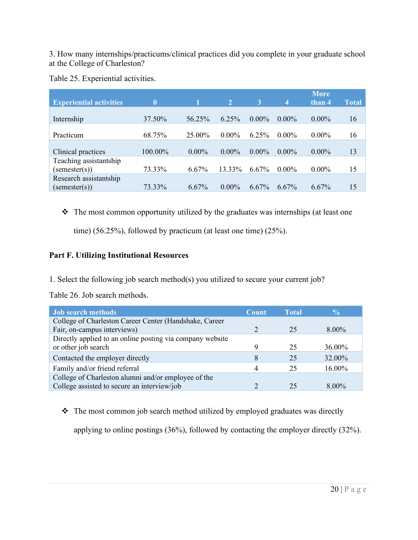3. How many internships/practicums/clinical practices did you complete in your graduate school at the College of Charleston?

Table 25. Experiential activities.

| $\bf{0}$ | 1        | $\overline{2}$ | 3        | $\overline{4}$ | <b>More</b><br>than 4 | <b>Total</b> |
|----------|----------|----------------|----------|----------------|-----------------------|--------------|
| 37.50%   | 56.25%   | 6.25%          | $0.00\%$ | $0.00\%$       | $0.00\%$              | 16           |
| 68.75%   | 25.00%   | $0.00\%$       | 6.25%    | $0.00\%$       | $0.00\%$              | 16           |
| 100.00%  | $0.00\%$ | $0.00\%$       | $0.00\%$ | $0.00\%$       | $0.00\%$              | 13           |
| 73.33%   | $6.67\%$ | 13.33%         | 6.67%    | $0.00\%$       | $0.00\%$              | 15           |
| 73.33%   | 6.67%    | $0.00\%$       | 6.67%    | 6.67%          | 6.67%                 | 15           |
|          |          |                |          |                |                       |              |

\* The most common opportunity utilized by the graduates was internships (at least one

time) (56.25%), followed by practicum (at least one time) (25%).

#### **Part F. Utilizing Institutional Resources**

1. Select the following job search method(s) you utilized to secure your current job?

Table 26. Job search methods.

| <b>Job search methods</b>                                 | Count | <b>Total</b> | $\frac{0}{2}$ |
|-----------------------------------------------------------|-------|--------------|---------------|
| College of Charleston Career Center (Handshake, Career    |       |              |               |
| Fair, on-campus interviews)                               |       | 25           | $8.00\%$      |
| Directly applied to an online posting via company website |       |              |               |
| or other job search                                       |       | 25           | 36.00%        |
| Contacted the employer directly                           |       | 25           | 32.00%        |
| Family and/or friend referral                             |       | 25           | 16.00%        |
| College of Charleston alumni and/or employee of the       |       |              |               |
| College assisted to secure an interview/job               |       | 25           | $8.00\%$      |

• The most common job search method utilized by employed graduates was directly

applying to online postings (36%), followed by contacting the employer directly (32%).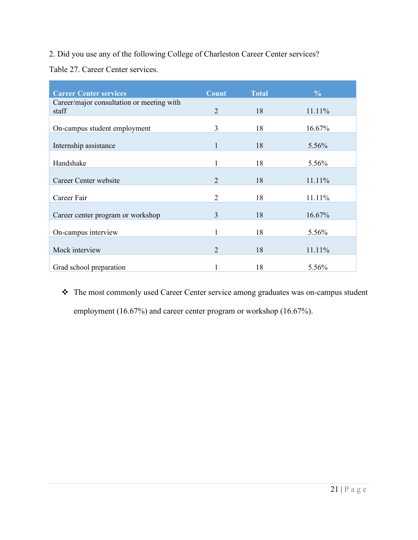#### 2. Did you use any of the following College of Charleston Career Center services?

Table 27. Career Center services.

| <b>Career Center services</b>                      | <b>Count</b>                | <b>Total</b> | $\frac{0}{0}$ |
|----------------------------------------------------|-----------------------------|--------------|---------------|
| Career/major consultation or meeting with<br>staff | 2                           | 18           | 11.11%        |
| On-campus student employment                       | 3                           | 18           | 16.67%        |
| Internship assistance                              | 1                           | 18           | 5.56%         |
| Handshake                                          | 1                           | 18           | 5.56%         |
| Career Center website                              | $\mathcal{D}_{\mathcal{L}}$ | 18           | 11.11%        |
| Career Fair                                        | $\overline{2}$              | 18           | 11.11%        |
| Career center program or workshop                  | 3                           | 18           | 16.67%        |
| On-campus interview                                | 1                           | 18           | 5.56%         |
| Mock interview                                     | $\overline{2}$              | 18           | 11.11%        |
| Grad school preparation                            |                             | 18           | 5.56%         |

 The most commonly used Career Center service among graduates was on-campus student employment (16.67%) and career center program or workshop (16.67%).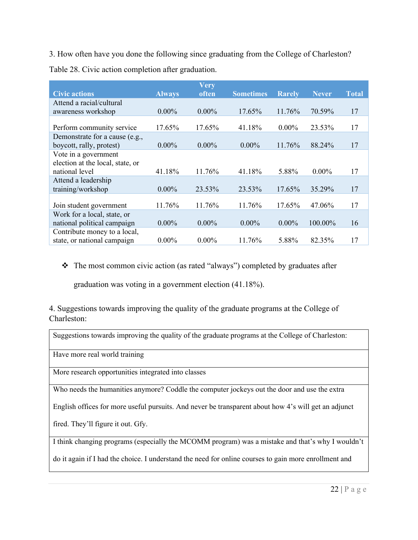3. How often have you done the following since graduating from the College of Charleston?

Table 28. Civic action completion after graduation.

|                                  |               | Very     |                  |               |              |              |
|----------------------------------|---------------|----------|------------------|---------------|--------------|--------------|
| <b>Civic actions</b>             | <b>Always</b> | often    | <b>Sometimes</b> | <b>Rarely</b> | <b>Never</b> | <b>Total</b> |
| Attend a racial/cultural         |               |          |                  |               |              |              |
| awareness workshop               | $0.00\%$      | $0.00\%$ | 17.65%           | 11.76%        | 70.59%       | 17           |
|                                  |               |          |                  |               |              |              |
| Perform community service        | 17.65%        | 17.65%   | 41.18%           | $0.00\%$      | 23.53%       | 17           |
| Demonstrate for a cause (e.g.,   |               |          |                  |               |              |              |
| boycott, rally, protest)         | $0.00\%$      | $0.00\%$ | $0.00\%$         | 11.76%        | 88.24%       | 17           |
| Vote in a government             |               |          |                  |               |              |              |
| election at the local, state, or |               |          |                  |               |              |              |
| national level                   | 41.18%        | 11.76%   | 41.18%           | 5.88%         | $0.00\%$     | 17           |
| Attend a leadership              |               |          |                  |               |              |              |
| training/workshop                | $0.00\%$      | 23.53%   | 23.53%           | 17.65%        | 35.29%       | 17           |
|                                  |               |          |                  |               |              |              |
| Join student government          | 11.76%        | 11.76%   | 11.76%           | 17.65%        | 47.06%       | 17           |
| Work for a local, state, or      |               |          |                  |               |              |              |
| national political campaign      | $0.00\%$      | $0.00\%$ | $0.00\%$         | $0.00\%$      | 100.00%      | 16           |
| Contribute money to a local,     |               |          |                  |               |              |              |
| state, or national campaign      | $0.00\%$      | $0.00\%$ | 11.76%           | 5.88%         | 82.35%       | 17           |

The most common civic action (as rated "always") completed by graduates after

graduation was voting in a government election (41.18%).

4. Suggestions towards improving the quality of the graduate programs at the College of Charleston:

| Suggestions towards improving the quality of the graduate programs at the College of Charleston:      |
|-------------------------------------------------------------------------------------------------------|
| Have more real world training                                                                         |
| More research opportunities integrated into classes                                                   |
| Who needs the humanities anymore? Coddle the computer jockeys out the door and use the extra          |
| English offices for more useful pursuits. And never be transparent about how 4's will get an adjunct  |
| fired. They'll figure it out. Gfy.                                                                    |
| I think changing programs (especially the MCOMM program) was a mistake and that's why I wouldn't      |
| do it again if I had the choice. I understand the need for online courses to gain more enrollment and |